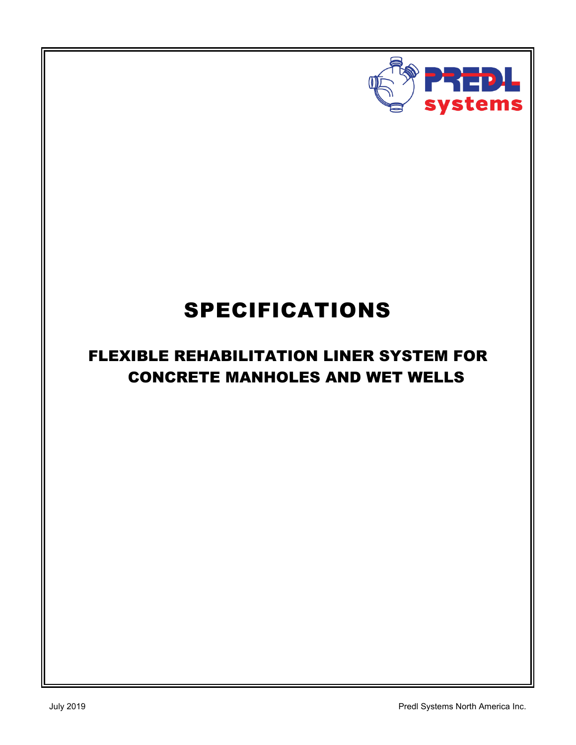

# SPECIFICATIONS

# FLEXIBLE REHABILITATION LINER SYSTEM FOR CONCRETE MANHOLES AND WET WELLS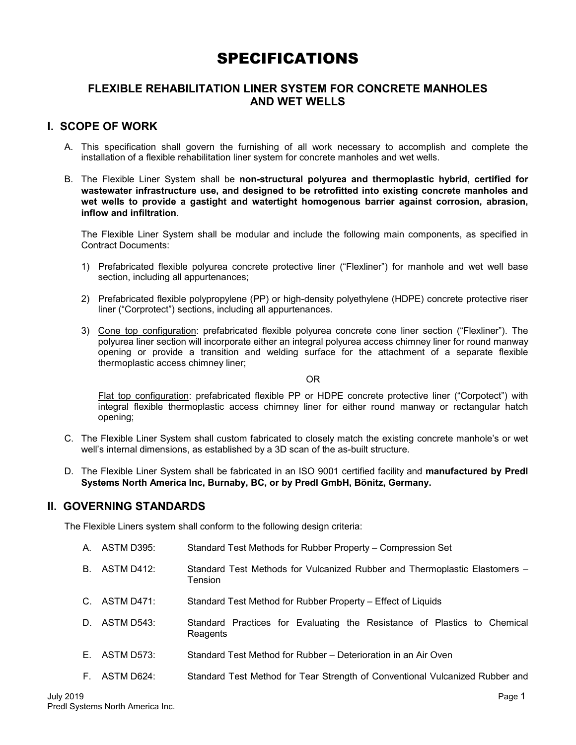# SPECIFICATIONS

# **FLEXIBLE REHABILITATION LINER SYSTEM FOR CONCRETE MANHOLES AND WET WELLS**

# **I. SCOPE OF WORK**

- A. This specification shall govern the furnishing of all work necessary to accomplish and complete the installation of a flexible rehabilitation liner system for concrete manholes and wet wells.
- B. The Flexible Liner System shall be **non-structural polyurea and thermoplastic hybrid, certified for wastewater infrastructure use, and designed to be retrofitted into existing concrete manholes and wet wells to provide a gastight and watertight homogenous barrier against corrosion, abrasion, inflow and infiltration**.

The Flexible Liner System shall be modular and include the following main components, as specified in Contract Documents:

- 1) Prefabricated flexible polyurea concrete protective liner ("Flexliner") for manhole and wet well base section, including all appurtenances;
- 2) Prefabricated flexible polypropylene (PP) or high-density polyethylene (HDPE) concrete protective riser liner ("Corprotect") sections, including all appurtenances.
- 3) Cone top configuration: prefabricated flexible polyurea concrete cone liner section ("Flexliner"). The polyurea liner section will incorporate either an integral polyurea access chimney liner for round manway opening or provide a transition and welding surface for the attachment of a separate flexible thermoplastic access chimney liner;

#### OR

Flat top configuration: prefabricated flexible PP or HDPE concrete protective liner ("Corpotect") with integral flexible thermoplastic access chimney liner for either round manway or rectangular hatch opening;

- C. The Flexible Liner System shall custom fabricated to closely match the existing concrete manhole's or wet well's internal dimensions, as established by a 3D scan of the as-built structure.
- D. The Flexible Liner System shall be fabricated in an ISO 9001 certified facility and **manufactured by Predl Systems North America Inc, Burnaby, BC, or by Predl GmbH, Bönitz, Germany.**

# **II. GOVERNING STANDARDS**

The Flexible Liners system shall conform to the following design criteria:

- A. ASTM D395: Standard Test Methods for Rubber Property Compression Set
- B. ASTM D412: Standard Test Methods for Vulcanized Rubber and Thermoplastic Elastomers -Tension
- C. ASTM D471: Standard Test Method for Rubber Property Effect of Liquids
- D. ASTM D543: Standard Practices for Evaluating the Resistance of Plastics to Chemical **Reagents**
- E. ASTM D573: Standard Test Method for Rubber Deterioration in an Air Oven
- F. ASTM D624: Standard Test Method for Tear Strength of Conventional Vulcanized Rubber and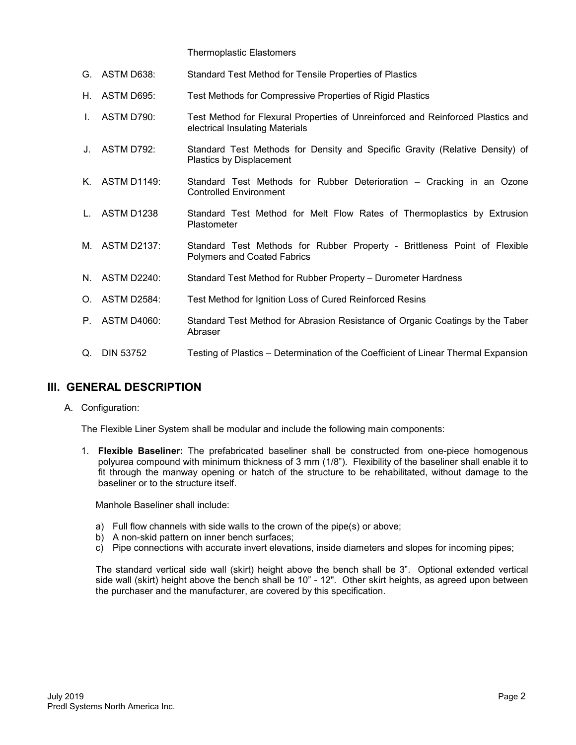Thermoplastic Elastomers

- G. ASTM D638: Standard Test Method for Tensile Properties of Plastics
- H. ASTM D695: Test Methods for Compressive Properties of Rigid Plastics
- I. ASTM D790: Test Method for Flexural Properties of Unreinforced and Reinforced Plastics and electrical Insulating Materials
- J. ASTM D792: Standard Test Methods for Density and Specific Gravity (Relative Density) of Plastics by Displacement
- K. ASTM D1149: Standard Test Methods for Rubber Deterioration Cracking in an Ozone Controlled Environment
- L. ASTM D1238 Standard Test Method for Melt Flow Rates of Thermoplastics by Extrusion **Plastometer**
- M. ASTM D2137: Standard Test Methods for Rubber Property Brittleness Point of Flexible Polymers and Coated Fabrics
- N. ASTM D2240: Standard Test Method for Rubber Property Durometer Hardness
- O. ASTM D2584: Test Method for Ignition Loss of Cured Reinforced Resins
- P. ASTM D4060: Standard Test Method for Abrasion Resistance of Organic Coatings by the Taber Abraser
- Q. DIN 53752 Testing of Plastics Determination of the Coefficient of Linear Thermal Expansion

# **III. GENERAL DESCRIPTION**

A. Configuration:

The Flexible Liner System shall be modular and include the following main components:

1. **Flexible Baseliner:** The prefabricated baseliner shall be constructed from one-piece homogenous polyurea compound with minimum thickness of 3 mm (1/8"). Flexibility of the baseliner shall enable it to fit through the manway opening or hatch of the structure to be rehabilitated, without damage to the baseliner or to the structure itself.

Manhole Baseliner shall include:

- a) Full flow channels with side walls to the crown of the pipe(s) or above;
- b) A non-skid pattern on inner bench surfaces;
- c) Pipe connections with accurate invert elevations, inside diameters and slopes for incoming pipes;

The standard vertical side wall (skirt) height above the bench shall be 3". Optional extended vertical side wall (skirt) height above the bench shall be 10" - 12". Other skirt heights, as agreed upon between the purchaser and the manufacturer, are covered by this specification.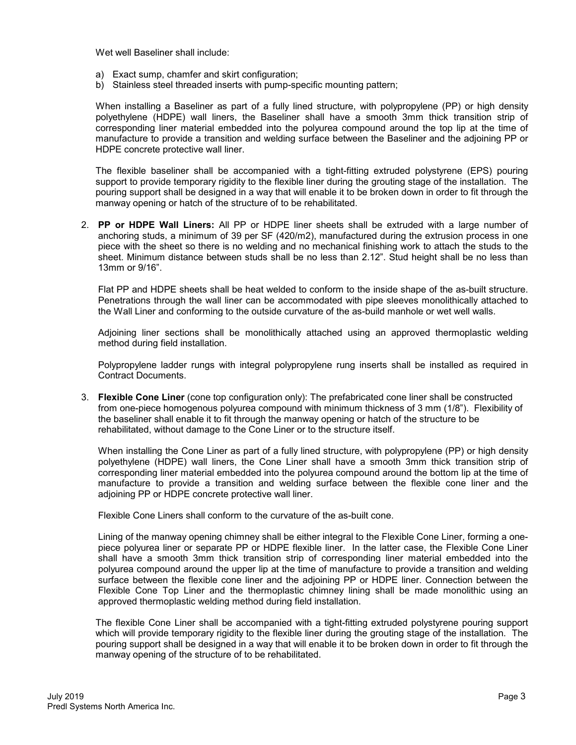Wet well Baseliner shall include:

- a) Exact sump, chamfer and skirt configuration;
- b) Stainless steel threaded inserts with pump-specific mounting pattern;

When installing a Baseliner as part of a fully lined structure, with polypropylene (PP) or high density polyethylene (HDPE) wall liners, the Baseliner shall have a smooth 3mm thick transition strip of corresponding liner material embedded into the polyurea compound around the top lip at the time of manufacture to provide a transition and welding surface between the Baseliner and the adjoining PP or HDPE concrete protective wall liner.

The flexible baseliner shall be accompanied with a tight-fitting extruded polystyrene (EPS) pouring support to provide temporary rigidity to the flexible liner during the grouting stage of the installation. The pouring support shall be designed in a way that will enable it to be broken down in order to fit through the manway opening or hatch of the structure of to be rehabilitated.

2. **PP or HDPE Wall Liners:** All PP or HDPE liner sheets shall be extruded with a large number of anchoring studs, a minimum of 39 per SF (420/m2), manufactured during the extrusion process in one piece with the sheet so there is no welding and no mechanical finishing work to attach the studs to the sheet. Minimum distance between studs shall be no less than 2.12". Stud height shall be no less than 13mm or 9/16".

Flat PP and HDPE sheets shall be heat welded to conform to the inside shape of the as-built structure. Penetrations through the wall liner can be accommodated with pipe sleeves monolithically attached to the Wall Liner and conforming to the outside curvature of the as-build manhole or wet well walls.

Adjoining liner sections shall be monolithically attached using an approved thermoplastic welding method during field installation.

Polypropylene ladder rungs with integral polypropylene rung inserts shall be installed as required in Contract Documents.

3. **Flexible Cone Liner** (cone top configuration only): The prefabricated cone liner shall be constructed from one-piece homogenous polyurea compound with minimum thickness of 3 mm (1/8"). Flexibility of the baseliner shall enable it to fit through the manway opening or hatch of the structure to be rehabilitated, without damage to the Cone Liner or to the structure itself.

When installing the Cone Liner as part of a fully lined structure, with polypropylene (PP) or high density polyethylene (HDPE) wall liners, the Cone Liner shall have a smooth 3mm thick transition strip of corresponding liner material embedded into the polyurea compound around the bottom lip at the time of manufacture to provide a transition and welding surface between the flexible cone liner and the adjoining PP or HDPE concrete protective wall liner.

Flexible Cone Liners shall conform to the curvature of the as-built cone.

Lining of the manway opening chimney shall be either integral to the Flexible Cone Liner, forming a onepiece polyurea liner or separate PP or HDPE flexible liner. In the latter case, the Flexible Cone Liner shall have a smooth 3mm thick transition strip of corresponding liner material embedded into the polyurea compound around the upper lip at the time of manufacture to provide a transition and welding surface between the flexible cone liner and the adjoining PP or HDPE liner. Connection between the Flexible Cone Top Liner and the thermoplastic chimney lining shall be made monolithic using an approved thermoplastic welding method during field installation.

The flexible Cone Liner shall be accompanied with a tight-fitting extruded polystyrene pouring support which will provide temporary rigidity to the flexible liner during the grouting stage of the installation. The pouring support shall be designed in a way that will enable it to be broken down in order to fit through the manway opening of the structure of to be rehabilitated.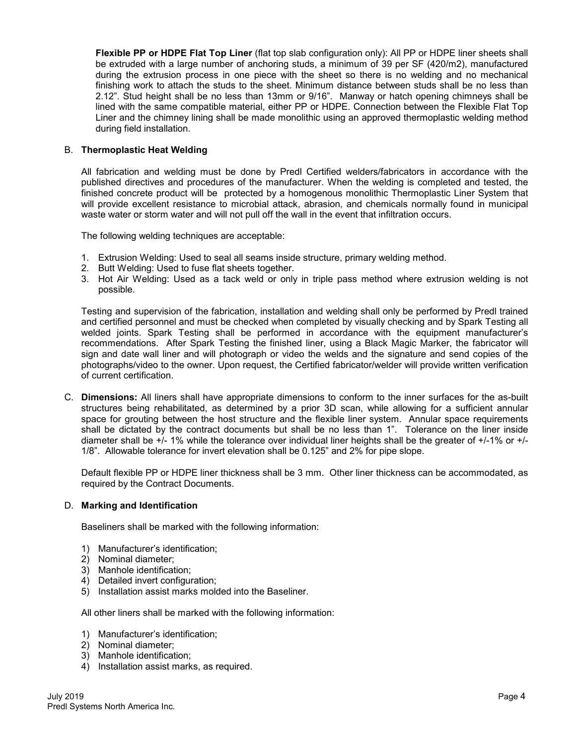**Flexible PP or HDPE Flat Top Liner** (flat top slab configuration only): All PP or HDPE liner sheets shall be extruded with a large number of anchoring studs, a minimum of 39 per SF (420/m2), manufactured during the extrusion process in one piece with the sheet so there is no welding and no mechanical finishing work to attach the studs to the sheet. Minimum distance between studs shall be no less than 2.12". Stud height shall be no less than 13mm or 9/16". Manway or hatch opening chimneys shall be lined with the same compatible material, either PP or HDPE. Connection between the Flexible Flat Top Liner and the chimney lining shall be made monolithic using an approved thermoplastic welding method during field installation.

#### B. **Thermoplastic Heat Welding**

All fabrication and welding must be done by Predl Certified welders/fabricators in accordance with the published directives and procedures of the manufacturer. When the welding is completed and tested, the finished concrete product will be protected by a homogenous monolithic Thermoplastic Liner System that will provide excellent resistance to microbial attack, abrasion, and chemicals normally found in municipal waste water or storm water and will not pull off the wall in the event that infiltration occurs.

The following welding techniques are acceptable:

- 1. Extrusion Welding: Used to seal all seams inside structure, primary welding method.
- 2. Butt Welding: Used to fuse flat sheets together.
- 3. Hot Air Welding: Used as a tack weld or only in triple pass method where extrusion welding is not possible.

Testing and supervision of the fabrication, installation and welding shall only be performed by Predl trained and certified personnel and must be checked when completed by visually checking and by Spark Testing all welded joints. Spark Testing shall be performed in accordance with the equipment manufacturer's recommendations. After Spark Testing the finished liner, using a Black Magic Marker, the fabricator will sign and date wall liner and will photograph or video the welds and the signature and send copies of the photographs/video to the owner. Upon request, the Certified fabricator/welder will provide written verification of current certification.

C. **Dimensions:** All liners shall have appropriate dimensions to conform to the inner surfaces for the as-built structures being rehabilitated, as determined by a prior 3D scan, while allowing for a sufficient annular space for grouting between the host structure and the flexible liner system. Annular space requirements shall be dictated by the contract documents but shall be no less than 1". Tolerance on the liner inside diameter shall be +/- 1% while the tolerance over individual liner heights shall be the greater of +/-1% or +/- 1/8". Allowable tolerance for invert elevation shall be 0.125" and 2% for pipe slope.

Default flexible PP or HDPE liner thickness shall be 3 mm. Other liner thickness can be accommodated, as required by the Contract Documents.

#### D. **Marking and Identification**

Baseliners shall be marked with the following information:

- 1) Manufacturer's identification;
- 2) Nominal diameter;
- 3) Manhole identification;
- 4) Detailed invert configuration;
- 5) Installation assist marks molded into the Baseliner.

All other liners shall be marked with the following information:

- 1) Manufacturer's identification;
- 2) Nominal diameter;
- 3) Manhole identification;
- 4) Installation assist marks, as required.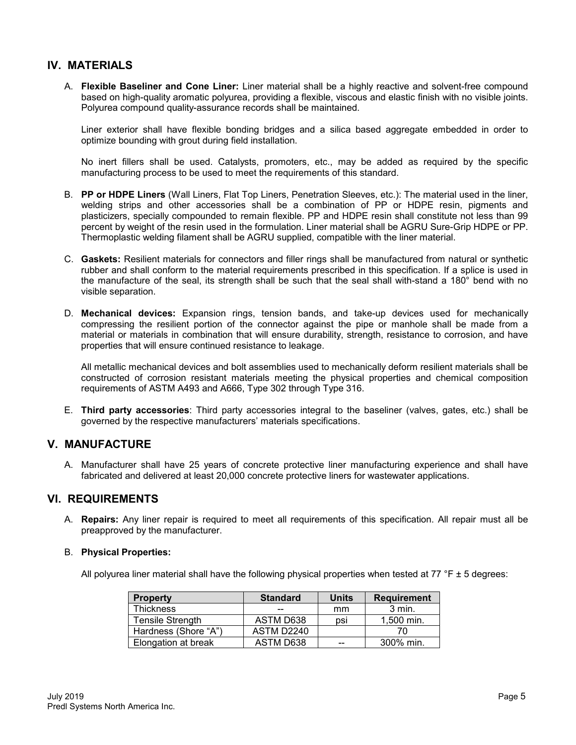# **IV. MATERIALS**

A. **Flexible Baseliner and Cone Liner:** Liner material shall be a highly reactive and solvent-free compound based on high-quality aromatic polyurea, providing a flexible, viscous and elastic finish with no visible joints. Polyurea compound quality-assurance records shall be maintained.

Liner exterior shall have flexible bonding bridges and a silica based aggregate embedded in order to optimize bounding with grout during field installation.

No inert fillers shall be used. Catalysts, promoters, etc., may be added as required by the specific manufacturing process to be used to meet the requirements of this standard.

- B. **PP or HDPE Liners** (Wall Liners, Flat Top Liners, Penetration Sleeves, etc.): The material used in the liner, welding strips and other accessories shall be a combination of PP or HDPE resin, pigments and plasticizers, specially compounded to remain flexible. PP and HDPE resin shall constitute not less than 99 percent by weight of the resin used in the formulation. Liner material shall be AGRU Sure-Grip HDPE or PP. Thermoplastic welding filament shall be AGRU supplied, compatible with the liner material.
- C. **Gaskets:** Resilient materials for connectors and filler rings shall be manufactured from natural or synthetic rubber and shall conform to the material requirements prescribed in this specification. If a splice is used in the manufacture of the seal, its strength shall be such that the seal shall with-stand a 180° bend with no visible separation.
- D. **Mechanical devices:** Expansion rings, tension bands, and take-up devices used for mechanically compressing the resilient portion of the connector against the pipe or manhole shall be made from a material or materials in combination that will ensure durability, strength, resistance to corrosion, and have properties that will ensure continued resistance to leakage.

All metallic mechanical devices and bolt assemblies used to mechanically deform resilient materials shall be constructed of corrosion resistant materials meeting the physical properties and chemical composition requirements of ASTM A493 and A666, Type 302 through Type 316.

E. **Third party accessories**: Third party accessories integral to the baseliner (valves, gates, etc.) shall be governed by the respective manufacturers' materials specifications.

# **V. MANUFACTURE**

A. Manufacturer shall have 25 years of concrete protective liner manufacturing experience and shall have fabricated and delivered at least 20,000 concrete protective liners for wastewater applications.

# **VI. REQUIREMENTS**

A. **Repairs:** Any liner repair is required to meet all requirements of this specification. All repair must all be preapproved by the manufacturer.

#### B. **Physical Properties:**

All polyurea liner material shall have the following physical properties when tested at 77  $\degree$ F  $\pm$  5 degrees:

| <b>Property</b>         | <b>Standard</b> | <b>Units</b> | <b>Requirement</b> |
|-------------------------|-----------------|--------------|--------------------|
| <b>Thickness</b>        | --              | mm           | 3 min.             |
| <b>Tensile Strength</b> | ASTM D638       | psi          | 1,500 min.         |
| Hardness (Shore "A")    | ASTM D2240      |              |                    |
| Elongation at break     | ASTM D638       | $-$          | 300% min.          |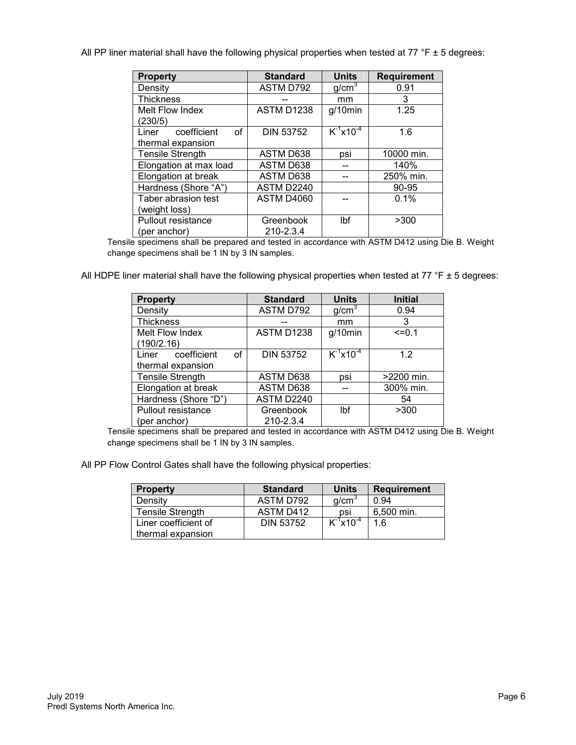All PP liner material shall have the following physical properties when tested at 77 °F  $\pm$  5 degrees:

| <b>Property</b>                  | <b>Standard</b>  | <b>Units</b>      | <b>Requirement</b> |
|----------------------------------|------------------|-------------------|--------------------|
| Density                          | ASTM D792        | q/cm <sup>3</sup> | 0.91               |
| <b>Thickness</b>                 |                  | mm                | 3                  |
| Melt Flow Index                  | ASTM D1238       | $g/10$ min        | 1.25               |
| (230/5)                          |                  |                   |                    |
| coefficient<br>$\Omega$<br>Liner | <b>DIN 53752</b> | $K^{-1}x10^{-4}$  | 1.6                |
| thermal expansion                |                  |                   |                    |
| <b>Tensile Strength</b>          | ASTM D638        | psi               | 10000 min.         |
| Elongation at max load           | ASTM D638        |                   | 140%               |
| Elongation at break              | ASTM D638        |                   | 250% min.          |
| Hardness (Shore "A")             | ASTM D2240       |                   | 90-95              |
| Taber abrasion test              | ASTM D4060       |                   | 0.1%               |
| (weight loss)                    |                  |                   |                    |
| Pullout resistance               | Greenbook        | Ibf               | >300               |
| (per anchor)                     | 210-2.3.4        |                   |                    |

Tensile specimens shall be prepared and tested in accordance with ASTM D412 using Die B. Weight change specimens shall be 1 IN by 3 IN samples.

All HDPE liner material shall have the following physical properties when tested at 77 °F  $\pm$  5 degrees:

| <b>Property</b>            | <b>Standard</b>  | <b>Units</b>      | <b>Initial</b> |
|----------------------------|------------------|-------------------|----------------|
| Density                    | ASTM D792        | g/cm <sup>3</sup> | 0.94           |
| <b>Thickness</b>           |                  | mm                | 3              |
| Melt Flow Index            | ASTM D1238       | $g/10$ min        | $=0.1$         |
| (190/2.16)                 |                  |                   |                |
| coefficient<br>of<br>Liner | <b>DIN 53752</b> | $K^{-1}x10^{-4}$  | 12             |
| thermal expansion          |                  |                   |                |
| <b>Tensile Strength</b>    | ASTM D638        | psi               | >2200 min.     |
| Elongation at break        | ASTM D638        |                   | 300% min.      |
| Hardness (Shore "D")       | ASTM D2240       |                   | 54             |
| Pullout resistance         | Greenbook        | Ibf               | >300           |
| (per anchor)               | 210-2.3.4        |                   |                |

Tensile specimens shall be prepared and tested in accordance with ASTM D412 using Die B. Weight change specimens shall be 1 IN by 3 IN samples.

All PP Flow Control Gates shall have the following physical properties:

| <b>Property</b>         | <b>Standard</b>  | <b>Units</b>      | <b>Requirement</b> |
|-------------------------|------------------|-------------------|--------------------|
| Density                 | ASTM D792        | q/cm <sup>3</sup> | 0.94               |
| <b>Tensile Strength</b> | ASTM D412        | psi               | 6.500 min.         |
| Liner coefficient of    | <b>DIN 53752</b> | $K^1x10^{-4}$     | 1.6                |
| thermal expansion       |                  |                   |                    |